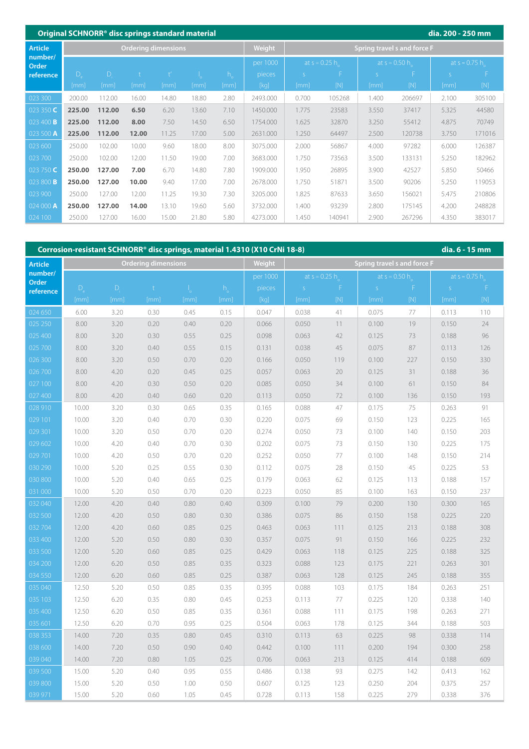|                                    |                  | Original SCHNORR <sup>®</sup> disc springs standard material |       |                            |       |             |          |                             |        |                 |        | dia. 200 - 250 mm     |        |  |
|------------------------------------|------------------|--------------------------------------------------------------|-------|----------------------------|-------|-------------|----------|-----------------------------|--------|-----------------|--------|-----------------------|--------|--|
| <b>Article</b><br>number/<br>Order |                  |                                                              |       | <b>Ordering dimensions</b> |       |             | Weight   | Spring travel s and force F |        |                 |        |                       |        |  |
|                                    |                  |                                                              |       |                            |       |             | per 1000 | at $s = 0.25 h$             |        | at $s = 0.50 h$ |        | at $s \approx 0.75$ h |        |  |
| reference                          | $\overline{D}_e$ | $D_i$                                                        |       |                            |       | $h_{\circ}$ | pieces   | S.                          |        |                 |        | $\varsigma$           |        |  |
|                                    | [mm]             | [mm]                                                         | [mm]  | [mm]                       | [mm]  | [mm]        | [kq]     | [mm]                        | [N]    | [mm]            | [N]    | [mm]                  | [N]    |  |
| 023 300                            | 200.00           | 112.00                                                       | 16.00 | 14.80                      | 18.80 | 2.80        | 2493.000 | 0.700                       | 105268 | 1.400           | 206697 | 2.100                 | 305100 |  |
| 023 350 C                          | 225.00           | 112.00                                                       | 6.50  | 6.20                       | 13.60 | 7.10        | 1450.000 | 1.775                       | 23583  | 3.550           | 37417  | 5.325                 | 44580  |  |
| 023 400 <b>B</b>                   | 225.00           | 112.00                                                       | 8.00  | 7.50                       | 14.50 | 6.50        | 1754.000 | 1.625                       | 32870  | 3.250           | 55412  | 4.875                 | 70749  |  |
| 023 500 A                          | 225.00           | 112.00                                                       | 12.00 | 11.25                      | 17.00 | 5.00        | 2631.000 | 1.250                       | 64497  | 2.500           | 120738 | 3.750                 | 171016 |  |
| 023 600                            | 250.00           | 102.00                                                       | 10.00 | 9.60                       | 18.00 | 8.00        | 3075.000 | 2.000                       | 56867  | 4.000           | 97282  | 6.000                 | 126387 |  |
| 023 700                            | 250.00           | 102.00                                                       | 12.00 | 11.50                      | 19.00 | 7.00        | 3683.000 | 1.750                       | 73563  | 3.500           | 133131 | 5.250                 | 182962 |  |
| 023 750 C                          | 250.00           | 127.00                                                       | 7.00  | 6.70                       | 14.80 | 7.80        | 1909.000 | 1.950                       | 26895  | 3.900           | 42527  | 5.850                 | 50466  |  |
| 023 800 <b>B</b>                   | 250.00           | 127.00                                                       | 10.00 | 9.40                       | 17.00 | 7.00        | 2678.000 | 1.750                       | 51871  | 3.500           | 90206  | 5.250                 | 119053 |  |
| 023 900                            | 250.00           | 127.00                                                       | 12.00 | 11.25                      | 19.30 | 7.30        | 3205.000 | 1.825                       | 87633  | 3.650           | 156021 | 5.475                 | 210806 |  |
| 024 000 A                          | 250.00           | 127.00                                                       | 14.00 | 13.10                      | 19.60 | 5.60        | 3732.000 | 1.400                       | 93239  | 2.800           | 175145 | 4.200                 | 248828 |  |
| 024 100                            | 250.00           | 127.00                                                       | 16.00 | 15.00                      | 21.80 | 5.80        | 4273.000 | 1.450                       | 140941 | 2.900           | 267296 | 4.350                 | 383017 |  |

| Corrosion-resistant SCHNORR <sup>®</sup> disc springs, material 1.4310 (X10 CrNi 18-8)<br>dia. 6 - 15 mm |         |       |                            |      |              |          |                 |             |                             |                                                                                                                                                                                                    |       |                                                                                                                                                                                                    |  |
|----------------------------------------------------------------------------------------------------------|---------|-------|----------------------------|------|--------------|----------|-----------------|-------------|-----------------------------|----------------------------------------------------------------------------------------------------------------------------------------------------------------------------------------------------|-------|----------------------------------------------------------------------------------------------------------------------------------------------------------------------------------------------------|--|
| <b>Article</b>                                                                                           |         |       | <b>Ordering dimensions</b> |      |              | Weight   |                 |             | Spring travel s and force F |                                                                                                                                                                                                    |       |                                                                                                                                                                                                    |  |
| number/                                                                                                  |         |       |                            |      |              | per 1000 | at $s = 0.25 h$ |             | at $s = 0.50 h$             |                                                                                                                                                                                                    |       | at $s \approx 0.75$ h                                                                                                                                                                              |  |
| Order<br>reference                                                                                       | $D_{1}$ | $D_i$ | $\mathbf{t}$               | J,   | $h_{\alpha}$ | pieces   | S               | $\mathsf F$ | S                           | $\mathsf F$                                                                                                                                                                                        | S     | Æ                                                                                                                                                                                                  |  |
|                                                                                                          | [mm]    | [mm]  | [mm]                       | [mm] | [mm]         | [kg]     | [mm]            | $[{\sf N}]$ | [mm]                        | $[{\sf{N}}] % \centering \includegraphics[width=0.9\textwidth]{images/Trn1.png} % \caption{The figure shows the number of parameters of the estimators in the left and right.} \label{fig:Trn2} %$ | [mm]  | $[{\sf{N}}] % \centering \includegraphics[width=0.9\textwidth]{images/Trn1.png} % \caption{The figure shows the number of parameters of the estimators in the left and right.} \label{fig:Trn1} %$ |  |
| 024 650                                                                                                  | 6.00    | 3.20  | 0.30                       | 0.45 | 0.15         | 0.047    | 0.038           | 41          | 0.075                       | 77                                                                                                                                                                                                 | 0.113 | 110                                                                                                                                                                                                |  |
| 025 250                                                                                                  | 8.00    | 3.20  | 0.20                       | 0.40 | 0.20         | 0.066    | 0.050           | 11          | 0.100                       | 19                                                                                                                                                                                                 | 0.150 | 24                                                                                                                                                                                                 |  |
| 025 400                                                                                                  | 8.00    | 3.20  | 0.30                       | 0.55 | 0.25         | 0.098    | 0.063           | 42          | 0.125                       | 73                                                                                                                                                                                                 | 0.188 | 96                                                                                                                                                                                                 |  |
| 025 700                                                                                                  | 8.00    | 3.20  | 0.40                       | 0.55 | 0.15         | 0.131    | 0.038           | 45          | 0.075                       | 87                                                                                                                                                                                                 | 0.113 | 126                                                                                                                                                                                                |  |
| 026 300                                                                                                  | 8.00    | 3.20  | 0.50                       | 0.70 | 0.20         | 0.166    | 0.050           | 119         | 0.100                       | 227                                                                                                                                                                                                | 0.150 | 330                                                                                                                                                                                                |  |
| 026 700                                                                                                  | 8.00    | 4.20  | 0.20                       | 0.45 | 0.25         | 0.057    | 0.063           | 20          | 0.125                       | 31                                                                                                                                                                                                 | 0.188 | 36                                                                                                                                                                                                 |  |
| 027 100                                                                                                  | 8.00    | 4.20  | 0.30                       | 0.50 | 0.20         | 0.085    | 0.050           | 34          | 0.100                       | 61                                                                                                                                                                                                 | 0.150 | 84                                                                                                                                                                                                 |  |
| 027 400                                                                                                  | 8.00    | 4.20  | 0.40                       | 0.60 | 0.20         | 0.113    | 0.050           | 72          | 0.100                       | 136                                                                                                                                                                                                | 0.150 | 193                                                                                                                                                                                                |  |
| 028 910                                                                                                  | 10.00   | 3.20  | 0.30                       | 0.65 | 0.35         | 0.165    | 0.088           | 47          | 0.175                       | 75                                                                                                                                                                                                 | 0.263 | 91                                                                                                                                                                                                 |  |
| 029 101                                                                                                  | 10.00   | 3.20  | 0.40                       | 0.70 | 0.30         | 0.220    | 0.075           | 69          | 0.150                       | 123                                                                                                                                                                                                | 0.225 | 165                                                                                                                                                                                                |  |
| 029 301                                                                                                  | 10.00   | 3.20  | 0.50                       | 0.70 | 0.20         | 0.274    | 0.050           | 73          | 0.100                       | 140                                                                                                                                                                                                | 0.150 | 203                                                                                                                                                                                                |  |
| 029 602                                                                                                  | 10.00   | 4.20  | 0.40                       | 0.70 | 0.30         | 0.202    | 0.075           | 73          | 0.150                       | 130                                                                                                                                                                                                | 0.225 | 175                                                                                                                                                                                                |  |
| 029701                                                                                                   | 10.00   | 4.20  | 0.50                       | 0.70 | 0.20         | 0.252    | 0.050           | 77          | 0.100                       | 148                                                                                                                                                                                                | 0.150 | 214                                                                                                                                                                                                |  |
| 030 290                                                                                                  | 10.00   | 5.20  | 0.25                       | 0.55 | 0.30         | 0.112    | 0.075           | 28          | 0.150                       | 45                                                                                                                                                                                                 | 0.225 | 53                                                                                                                                                                                                 |  |
| 030 800                                                                                                  | 10.00   | 5.20  | 0.40                       | 0.65 | 0.25         | 0.179    | 0.063           | 62          | 0.125                       | 113                                                                                                                                                                                                | 0.188 | 157                                                                                                                                                                                                |  |
| 031 000                                                                                                  | 10.00   | 5.20  | 0.50                       | 0.70 | 0.20         | 0.223    | 0.050           | 85          | 0.100                       | 163                                                                                                                                                                                                | 0.150 | 237                                                                                                                                                                                                |  |
| 032 040                                                                                                  | 12.00   | 4.20  | 0.40                       | 0.80 | 0.40         | 0.309    | 0.100           | 79          | 0.200                       | 130                                                                                                                                                                                                | 0.300 | 165                                                                                                                                                                                                |  |
| 032 500                                                                                                  | 12.00   | 4.20  | 0.50                       | 0.80 | 0.30         | 0.386    | 0.075           | 86          | 0.150                       | 158                                                                                                                                                                                                | 0.225 | 220                                                                                                                                                                                                |  |
| 032704                                                                                                   | 12.00   | 4.20  | 0.60                       | 0.85 | 0.25         | 0.463    | 0.063           | 111         | 0.125                       | 213                                                                                                                                                                                                | 0.188 | 308                                                                                                                                                                                                |  |
| 033 400                                                                                                  | 12.00   | 5.20  | 0.50                       | 0.80 | 0.30         | 0.357    | 0.075           | 91          | 0.150                       | 166                                                                                                                                                                                                | 0.225 | 232                                                                                                                                                                                                |  |
| 033 500                                                                                                  | 12.00   | 5.20  | 0.60                       | 0.85 | 0.25         | 0.429    | 0.063           | 118         | 0.125                       | 225                                                                                                                                                                                                | 0.188 | 325                                                                                                                                                                                                |  |
| 034 200                                                                                                  | 12.00   | 6.20  | 0.50                       | 0.85 | 0.35         | 0.323    | 0.088           | 123         | 0.175                       | 221                                                                                                                                                                                                | 0.263 | 301                                                                                                                                                                                                |  |
| 034 550                                                                                                  | 12.00   | 6.20  | 0.60                       | 0.85 | 0.25         | 0.387    | 0.063           | 128         | 0.125                       | 245                                                                                                                                                                                                | 0.188 | 355                                                                                                                                                                                                |  |
| 035 040                                                                                                  | 12.50   | 5.20  | 0.50                       | 0.85 | 0.35         | 0.395    | 0.088           | 103         | 0.175                       | 184                                                                                                                                                                                                | 0.263 | 251                                                                                                                                                                                                |  |
| 035 103                                                                                                  | 12.50   | 6.20  | 0.35                       | 0.80 | 0.45         | 0.253    | 0.113           | 77          | 0.225                       | 120                                                                                                                                                                                                | 0.338 | 140                                                                                                                                                                                                |  |
| 035 400                                                                                                  | 12.50   | 6.20  | 0.50                       | 0.85 | 0.35         | 0.361    | 0.088           | 111         | 0.175                       | 198                                                                                                                                                                                                | 0.263 | 271                                                                                                                                                                                                |  |
| 035 601                                                                                                  | 12.50   | 6.20  | 0.70                       | 0.95 | 0.25         | 0.504    | 0.063           | 178         | 0.125                       | 344                                                                                                                                                                                                | 0.188 | 503                                                                                                                                                                                                |  |
| 038 353                                                                                                  | 14.00   | 7.20  | 0.35                       | 0.80 | 0.45         | 0.310    | 0.113           | 63          | 0.225                       | 98                                                                                                                                                                                                 | 0.338 | 114                                                                                                                                                                                                |  |
| $\overline{0}38\overline{600}$                                                                           | 14.00   | 7.20  | 0.50                       | 0.90 | 0.40         | 0.442    | 0.100           | 111         | 0.200                       | 194                                                                                                                                                                                                | 0.300 | 258                                                                                                                                                                                                |  |
| 039 040                                                                                                  | 14.00   | 7.20  | 0.80                       | 1.05 | 0.25         | 0.706    | 0.063           | 213         | 0.125                       | 414                                                                                                                                                                                                | 0.188 | 609                                                                                                                                                                                                |  |
| 039 500                                                                                                  | 15.00   | 5.20  | 0.40                       | 0.95 | 0.55         | 0.486    | 0.138           | 93          | 0.275                       | 142                                                                                                                                                                                                | 0.413 | 162                                                                                                                                                                                                |  |
| 039 800                                                                                                  | 15.00   | 5.20  | 0.50                       | 1.00 | 0.50         | 0.607    | 0.125           | 123         | 0.250                       | 204                                                                                                                                                                                                | 0.375 | 257                                                                                                                                                                                                |  |
| 039 971                                                                                                  | 15.00   | 5.20  | 0.60                       | 1.05 | 0.45         | 0.728    | 0.113           | 158         | 0.225                       | 279                                                                                                                                                                                                | 0.338 | 376                                                                                                                                                                                                |  |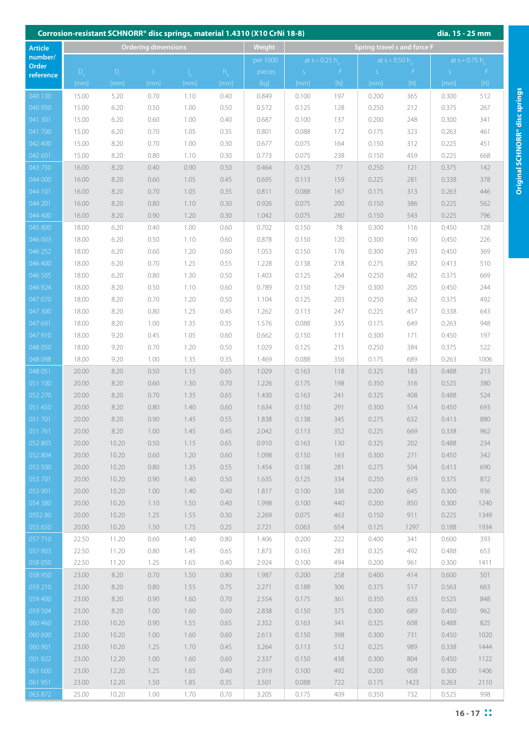| Corrosion-resistant SCHNORR <sup>®</sup> disc springs, material 1.4310 (X10 CrNi 18-8)<br>dia. 15 - 25 mm |                |                |                     |              |              |                |                |                 |                             |                                                                                                                                                                        |                |                       |  |
|-----------------------------------------------------------------------------------------------------------|----------------|----------------|---------------------|--------------|--------------|----------------|----------------|-----------------|-----------------------------|------------------------------------------------------------------------------------------------------------------------------------------------------------------------|----------------|-----------------------|--|
| <b>Article</b>                                                                                            |                |                | Ordering dimensions |              |              | Weight         |                |                 | Spring travel s and force F |                                                                                                                                                                        |                |                       |  |
| number/                                                                                                   |                |                |                     |              |              | per 1000       |                | at $s = 0.25 h$ | at $s = 0.50 h$             |                                                                                                                                                                        |                | at $s \approx 0.75$ h |  |
| Order<br>reference                                                                                        | D              | D.             | $\mathbf{t}$        | 1.           | $h_{\circ}$  | pieces         | S              | F               | S                           | F                                                                                                                                                                      | S              | -F                    |  |
|                                                                                                           | [mm]           | [mm]           | [mm]                | [mm]         | [mm]         | [kq]           | [mm]           | $[{\sf N}]$     | [mm]                        | $[{\sf{N}}] % \centering \includegraphics[width=0.9\textwidth]{images/Trn1.png} % \caption{The image shows the number of estimators in the image.} \label{fig:Trn2} %$ | [mm]           | [N]                   |  |
| 040 130                                                                                                   | 15.00          | 5.20           | 0.70                | 1.10         | 0.40         | 0.849          | 0.100          | 197             | 0.200                       | 365                                                                                                                                                                    | 0.300          | 512                   |  |
| 040 950                                                                                                   | 15.00          | 6.20           | 0.50                | 1.00         | 0.50         | 0.572          | 0.125          | 128             | 0.250                       | 212                                                                                                                                                                    | 0.375          | 267                   |  |
| 041 301                                                                                                   | 15.00          | 6.20           | 0.60                | 1.00         | 0.40         | 0.687          | 0.100          | 137             | 0.200                       | 248                                                                                                                                                                    | 0.300          | 341                   |  |
| 041 700                                                                                                   | 15.00          | 6.20           | 0.70                | 1.05         | 0.35         | 0.801          | 0.088          | 172             | 0.175                       | 323                                                                                                                                                                    | 0.263          | 461                   |  |
| 042 400                                                                                                   | 15.00          | 8.20           | 0.70                | 1.00         | 0.30         | 0.677          | 0.075          | 164             | 0.150                       | 312                                                                                                                                                                    | 0.225          | 451                   |  |
| 042 601                                                                                                   | 15.00          | 8.20           | 0.80                | 1.10         | 0.30         | 0.773          | 0.075          | 238             | 0.150                       | 459                                                                                                                                                                    | 0.225          | 668                   |  |
| 043 750                                                                                                   | 16.00          | 8.20           | 0.40                | 0.90         | 0.50         | 0.464          | 0.125          | 77              | 0.250                       | 121                                                                                                                                                                    | 0.375          | 142                   |  |
| 044 000                                                                                                   | 16.00          | 8.20           | 0.60                | 1.05         | 0.45         | 0.695          | 0.113          | 159             | 0.225                       | 281                                                                                                                                                                    | 0.338          | 378                   |  |
| 044 101                                                                                                   | 16.00          | 8.20           | 0.70                | 1.05         | 0.35         | 0.811          | 0.088          | 167             | 0.175                       | 313                                                                                                                                                                    | 0.263          | 446                   |  |
| 044 201                                                                                                   | 16.00          | 8.20           | 0.80                | 1.10         | 0.30         | 0.926          | 0.075          | 200             | 0.150                       | 386                                                                                                                                                                    | 0.225          | 562                   |  |
| 044 400                                                                                                   | 16.00          | 8.20           | 0.90                | 1.20         | 0.30         | 1.042          | 0.075          | 280             | 0.150                       | 543                                                                                                                                                                    | 0.225          | 796                   |  |
| 045 800                                                                                                   | 18.00          | 6.20           | 0.40                | 1.00         | 0.60         | 0.702          | 0.150          | 78              | 0.300                       | 116                                                                                                                                                                    | 0.450          | 128                   |  |
| 046 003                                                                                                   | 18.00          | 6.20           | 0.50                | 1.10         | 0.60         | 0.878          | 0.150          | 120             | 0.300                       | 190                                                                                                                                                                    | 0.450          | 226                   |  |
| 046 252                                                                                                   | 18.00          | 6.20           | 0.60                | 1.20         | 0.60         | 1.053          | 0.150          | 176             | 0.300                       | 293                                                                                                                                                                    | 0.450          | 369                   |  |
| 046 400                                                                                                   | 18.00          | 6.20           | 0.70                | 1.25         | 0.55         | 1.228          | 0.138          | 218             | 0.275                       | 382                                                                                                                                                                    | 0.413          | 510                   |  |
| 046 505                                                                                                   | 18.00          | 6.20           | 0.80                | 1.30         | 0.50         | 1.403          | 0.125          | 264             | 0.250                       | 482                                                                                                                                                                    | 0.375          | 669                   |  |
| 046 924                                                                                                   | 18.00          | 8.20           | 0.50                | 1.10         | 0.60         | 0.789          | 0.150          | 129             | 0.300                       | 205                                                                                                                                                                    | 0.450          | 244                   |  |
| 047 070                                                                                                   | 18.00          | 8.20           | 0.70                | 1.20         | 0.50         | 1.104          | 0.125          | 203             | 0.250                       | 362                                                                                                                                                                    | 0.375          | 492                   |  |
| 047 300                                                                                                   | 18.00          | 8.20           | 0.80                | 1.25         | 0.45         | 1.262          | 0.113          | 247             | 0.225                       | 457                                                                                                                                                                    | 0.338          | 643                   |  |
| 047 691                                                                                                   | 18.00          | 8.20           | 1.00                | 1.35         | 0.35         | 1.576          | 0.088          | 335             | 0.175                       | 649                                                                                                                                                                    | 0.263          | 948                   |  |
| 047 910<br>048 050                                                                                        | 18.00<br>18.00 | 9.20           | 0.45                | 1.05         | 0.60<br>0.50 | 0.662<br>1.029 | 0,150<br>0.125 | 111             | 0.300                       | 171                                                                                                                                                                    | 0.450          | 197<br>522            |  |
| 048 098                                                                                                   | 18.00          | 9.20<br>9.20   | 0.70<br>1.00        | 1.20<br>1.35 | 0.35         | 1.469          | 0.088          | 215<br>356      | 0.250<br>0.175              | 384<br>689                                                                                                                                                             | 0.375<br>0.263 | 1006                  |  |
| 048 051                                                                                                   | 20.00          | 8.20           | 0.50                | 1.15         | 0.65         | 1.029          | 0.163          | 118             | 0.325                       | 183                                                                                                                                                                    | 0.488          | 213                   |  |
| 051 100                                                                                                   | 20.00          | 8.20           | 0.60                | 1.30         | 0.70         | 1.226          | 0.175          | 198             | 0.350                       | 316                                                                                                                                                                    | 0.525          | 380                   |  |
| 052 270                                                                                                   | 20.00          | 8.20           | 0.70                | 1.35         | 0.65         | 1.430          | 0.163          | 241             | 0.325                       | 408                                                                                                                                                                    | 0.488          | 524                   |  |
| 051 450                                                                                                   | 20.00          | 8.20           | 0.80                | 1.40         | 0,60         | 1.634          | 0.150          | 291             | 0.300                       | 514                                                                                                                                                                    | 0.450          | 693                   |  |
| 051701                                                                                                    | 20.00          | 8.20           | 0.90                | 1.45         | 0.55         | 1.838          | 0.138          | 345             | 0.275                       | 632                                                                                                                                                                    | 0.413          | 880                   |  |
| 051761                                                                                                    | 20.00          | 8.20           | 1.00                | 1.45         | 0.45         | 2.042          | 0.113          | 352             | 0.225                       | 669                                                                                                                                                                    | 0.338          | 962                   |  |
| 052 803                                                                                                   | 20.00          | 10.20          | 0.50                | 1.15         | 0.65         | 0.910          | 0.163          | 130             | 0.325                       | 202                                                                                                                                                                    | 0.488          | 234                   |  |
| 052 804                                                                                                   | 20.00          | 10.20          | 0.60                | 1.20         | 0.60         | 1.098          | 0.150          | 163             | 0.300                       | 271                                                                                                                                                                    | 0.450          | 342                   |  |
| 053 500                                                                                                   | 20.00          | 10.20          | 0.80                | 1.35         | 0.55         | 1.454          | 0.138          | 281             | 0.275                       | 504                                                                                                                                                                    | 0.413          | 690                   |  |
| 053 701                                                                                                   | 20.00          | 10.20          | 0.90                | 1.40         | 0.50         | 1.635          | 0.125          | 334             | 0.250                       | 619                                                                                                                                                                    | 0.375          | 872                   |  |
| 053 901                                                                                                   | 20.00          | 10.20          | 1.00                | 1.40         | 0.40         | 1.817          | 0.100          | 336             | 0.200                       | 645                                                                                                                                                                    | 0.300          | 936                   |  |
| 054 380                                                                                                   | 20.00          | 10.20          | 1.10                | 1.50         | 0.40         | 1.998          | 0.100          | 440             | 0.200                       | 850                                                                                                                                                                    | 0.300          | 1240                  |  |
| 055280                                                                                                    | 20.00          | 10.20          | 1.25                | 1.55         | 0.30         | 2.269          | 0.075          | 463             | 0.150                       | 911                                                                                                                                                                    | 0.225          | 1349                  |  |
| 055 650                                                                                                   | 20.00          | 10.20          | 1.50                | 1.75         | 0.25         | 2.721          | 0.063          | 654             | 0.125                       | 1297                                                                                                                                                                   | 0.188          | 1934                  |  |
| 057710                                                                                                    | 22.50          | 11.20          | 0.60                | 1.40         | 0.80         | 1.406          | 0.200          | 222             | 0.400                       | 341                                                                                                                                                                    | 0.600          | 393                   |  |
| 057 903                                                                                                   | 22.50          | 11.20          | 0.80                | 1.45         | 0.65         | 1.873          | 0.163          | 283             | 0.325                       | 492                                                                                                                                                                    | 0.488          | 653                   |  |
| 058 050                                                                                                   | 22.50          | 11.20          | 1.25                | 1.65         | 0.40         | 2.924          | 0.100          | 494             | 0.200                       | 961                                                                                                                                                                    | 0.300          | 1411                  |  |
| 058 950                                                                                                   | 23.00          | 8.20           | 0.70                | 1.50         | 0.80         | 1.987          | 0.200          | 258             | 0.400                       | 414                                                                                                                                                                    | 0.600          | 501                   |  |
| 059 210                                                                                                   | 23.00          | 8.20           | 0.80                | 1.55         | 0.75         | 2.271          | 0.188          | 306             | 0.375                       | 517                                                                                                                                                                    | 0.563          | 663                   |  |
| 059 400                                                                                                   | 23.00          | 8.20           | 0.90                | 1.60         | 0.70         | 2.554          | 0.175          | 361             | 0.350                       | 633                                                                                                                                                                    | 0.525          | 848                   |  |
| 059 504                                                                                                   | 23.00          | 8.20           | 1.00                | 1.60         | 0.60         | 2.838          | 0.150          | 375             | 0.300                       | 689                                                                                                                                                                    | 0.450          | 962                   |  |
| 060 460                                                                                                   | 23.00          | 10.20          | 0.90<br>1.00        | 1.55         | 0.65<br>0.60 | 2.352          | 0.163<br>0.150 | 341<br>398      | 0.325                       | 608                                                                                                                                                                    | 0.488<br>0.450 | 825<br>1020           |  |
| 060 600<br>060 901                                                                                        | 23.00<br>23.00 | 10.20<br>10.20 | 1.25                | 1.60<br>1.70 | 0.45         | 2.613<br>3.264 | 0.113          | 512             | 0.300<br>0.225              | 731<br>989                                                                                                                                                             | 0.338          | 1444                  |  |
| 001 922                                                                                                   | 23.00          | 12.20          | 1.00                | 1.60         | 0.60         | 2.337          | 0.150          | 438             | 0.300                       | 804                                                                                                                                                                    | 0.450          | 1122                  |  |
| 061 600                                                                                                   | 23.00          | 12.20          | 1.25                | 1.65         | 0.40         | 2.919          | 0.100          | 492             | 0.200                       | 958                                                                                                                                                                    | 0.300          | 1406                  |  |
| 061 951                                                                                                   | 23.00          | 12.20          | 1.50                | 1.85         | 0.35         | 3.501          | 0.088          | 722             | 0.175                       | 1423                                                                                                                                                                   | 0.263          | 2110                  |  |
| 063 872                                                                                                   | 25.00          | 10.20          | 1.00                | 1.70         | 0.70         | 3.205          | 0.175          | 409             | 0.350                       | 732                                                                                                                                                                    | 0.525          | 998                   |  |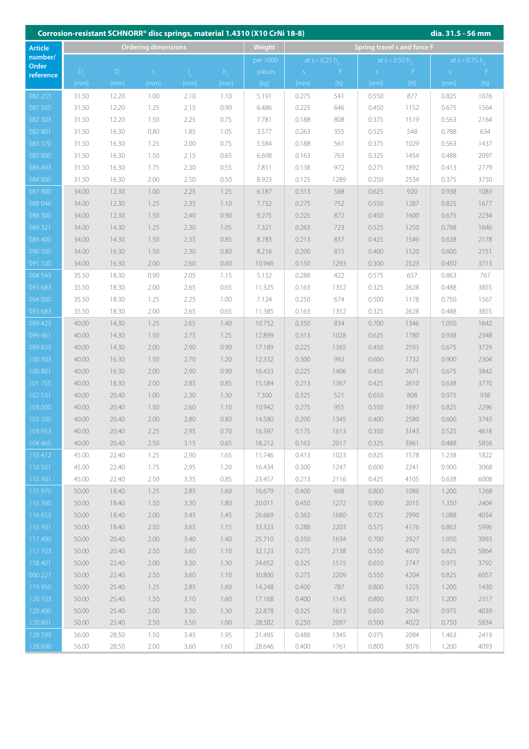| Corrosion-resistant SCHNORR <sup>®</sup> disc springs, material 1.4310 (X10 CrNi 18-8)<br>dia. 31.5 - 56 mm |                            |       |              |      |             |          |             |                             |             |                 |             |                       |  |  |
|-------------------------------------------------------------------------------------------------------------|----------------------------|-------|--------------|------|-------------|----------|-------------|-----------------------------|-------------|-----------------|-------------|-----------------------|--|--|
| <b>Article</b>                                                                                              | <b>Ordering dimensions</b> |       |              |      |             | Weight   |             | Spring travel s and force F |             |                 |             |                       |  |  |
| number/                                                                                                     |                            |       |              |      |             | per 1000 |             | at $s = 0.25 h$             |             | at $s = 0.50 h$ |             | at $s \approx 0.75$ h |  |  |
| Order<br>reference                                                                                          | $D_{1}$                    | $D_1$ | $\mathsf{t}$ |      | $h_{\circ}$ | pieces   | $\mathsf S$ | F.                          | $\mathsf S$ | F               | $\mathsf S$ | F                     |  |  |
|                                                                                                             | [mm]                       | [mm]  | [mm]         | [mm] | [mm]        | [kq]     | [mm]        | [N]                         | [mm]        | [N]             | [mm]        | [N]                   |  |  |
| 082 253                                                                                                     | 31.50                      | 12.20 | 1.00         | 2.10 | 1.10        | 5.191    | 0.275       | 541                         | 0.550       | 877             | 0.825       | 1076                  |  |  |
| 081 505                                                                                                     | 31.50                      | 12.20 | 1.25         | 2.15 | 0.90        | 6.486    | 0.225       | 646                         | 0.450       | 1152            | 0.675       | 1564                  |  |  |
| 082 303                                                                                                     | 31.50                      | 12.20 | 1.50         | 2.25 | 0.75        | 7.781    | 0.188       | 808                         | 0.375       | 1519            | 0.563       | 2164                  |  |  |
| 082 801                                                                                                     | 31.50                      | 16.30 | 0.80         | 1.85 | 1.05        | 3.577    | 0.263       | 355                         | 0.525       | 548             | 0.788       | 634                   |  |  |
| 083 370                                                                                                     | 31.50                      | 16.30 | 1.25         | 2.00 | 0.75        | 5.584    | 0.188       | 561                         | 0.375       | 1029            | 0.563       | 1437                  |  |  |
| 083 800                                                                                                     | 31.50                      | 16.30 | 1.50         | 2.15 | 0.65        | 6.698    | 0.163       | 763                         | 0.325       | 1454            | 0.488       | 2097                  |  |  |
| 084 493                                                                                                     | 31.50                      | 16.30 | 1.75         | 2.30 | 0.55        | 7.811    | 0.138       | 972                         | 0.275       | 1892            | 0.413       | 2779                  |  |  |
| 084 800                                                                                                     | 31.50                      | 16.30 | 2.00         | 2.50 | 0.50        | 8.923    | 0.125       | 1289                        | 0.250       | 2534            | 0.375       | 3750                  |  |  |
| 087 900                                                                                                     | 34.00                      | 12.30 | 1.00         | 2.25 | 1.25        | 6.187    | 0.313       | 588                         | 0.625       | 920             | 0.938       | 1083                  |  |  |
| 088 046                                                                                                     | 34.00                      | 12.30 | 1.25         | 2.35 | 1.10        | 7.732    | 0.275       | 752                         | 0.550       | 1287            | 0.825       | 1677                  |  |  |
| 088 300                                                                                                     | 34.00                      | 12.30 | 1.50         | 2.40 | 0.90        | 9.275    | 0.225       | 872                         | 0.450       | 1600            | 0.675       | 2234                  |  |  |
| 089 321                                                                                                     | 34.00                      | 14.30 | 1.25         | 2.30 | 1.05        | 7.321    | 0.263       | 723                         | 0.525       | 1250            | 0.788       | 1646                  |  |  |
| 089 400                                                                                                     | 34.00                      | 14.30 | 1.50         | 2.35 | 0.85        | 8.783    | 0.213       | 837                         | 0.425       | 1549            | 0.638       | 2178                  |  |  |
| 090 500                                                                                                     | 34.00                      | 16.30 | 1.50         | 2.30 | 0.80        | 8.216    | 0.200       | 815                         | 0.400       | 1520            | 0.600       | 2151                  |  |  |
| 091 100                                                                                                     | 34.00                      | 16.30 | 2.00         | 2.60 | 0.60        | 10.946   | 0.150       | 1293                        | 0.300       | 2523            | 0.450       | 3713                  |  |  |
| 004 543                                                                                                     | 35.50                      | 18.30 | 0.90         | 2.05 | 1.15        | 5.132    | 0.288       | 422                         | 0.575       | 657             | 0.863       | 767                   |  |  |
| 093 683                                                                                                     | 35.50                      | 18.30 | 2.00         | 2.65 | 0.65        | 11.325   | 0.163       | 1352                        | 0.325       | 2628            | 0.488       | 3855                  |  |  |
| 094 000                                                                                                     | 35.50                      | 18.30 | 1.25         | 2.25 | 1.00        | 7.124    | 0.250       | 674                         | 0.500       | 1178            | 0.750       | 1567                  |  |  |
| 093 683                                                                                                     | 35.50                      | 18.30 | 2.00         | 2.65 | 0.65        | 11.385   | 0.163       | 1352                        | 0.325       | 2628            | 0.488       | 3855                  |  |  |
| 099 423                                                                                                     | 40.00                      | 14.30 | 1.25         | 2.65 | 1.40        | 10.752   | 0.350       | 834                         | 0.700       | 1346            | 1.050       | 1642                  |  |  |
| 099 461                                                                                                     | 40.00                      | 14.30 | 1.50         | 2.75 | 1.25        | 12.899   | 0.313       | 1028                        | 0.625       | 1780            | 0.938       | 2348                  |  |  |
| 099833                                                                                                      | 40.00                      | 14.30 | 2.00         | 2.90 | 0.90        | 17.189   | 0.225       | 1365                        | 0.450       | 2593            | 0.675       | 3729                  |  |  |
| 100 503                                                                                                     | 40.00                      | 16.30 | 1.50         | 2.70 | 1.20        | 12.332   | 0.300       | 992                         | 0.600       | 1732            | 0.900       | 2304                  |  |  |
| 100 801                                                                                                     | 40.00                      | 16.30 | 2.00         | 2.90 | 0.90        | 16.433   | 0.225       | 1406                        | 0.450       | 2671            | 0.675       | 3842                  |  |  |
| 101755                                                                                                      | 40.00                      | 18.30 | 2.00         | 2.85 | 0.85        | 15.584   | 0.213       | 1367                        | 0.425       | 2610            | 0.638       | 3770                  |  |  |
| 102531                                                                                                      | 40.00                      | 20.40 | 1.00         | 2.30 | 1.30        | 7.300    | 0.325       | 521                         | 0.650       | 808             | 0.975       | 938                   |  |  |
| 103 000                                                                                                     | 40.00                      | 20.40 | 1.50         | 2.60 | 1.10        | 10.942   | 0.275       | 955                         | 0.550       | 1697            | 0.825       | 2296                  |  |  |
| 103 500                                                                                                     | 40.00                      | 20.40 | 2.00         | 2.80 | 0.80        | 14.580   | 0.200       | 1345                        | 0.400       | 2580            | 0.600       | 3743                  |  |  |
| 103 953                                                                                                     | 40.00                      | 20.40 | 2.25         | 2.95 | 0.70        | 16.397   | 0.175       | 1613                        | 0.350       | 3143            | 0.525       | 4618                  |  |  |
| 104 465                                                                                                     | 40.00                      | 20.40 | 2.50         | 3.15 | 0.65        | 18.212   | 0.163       | 2017                        | 0.325       | 3961            | 0.488       | 5856                  |  |  |
| 110412                                                                                                      | 45.00                      | 22.40 | 1.25         | 2.90 | 1.65        | 11.746   | 0.413       | 1023                        | 0.825       | 1578            | 1.238       | 1822                  |  |  |
| 110 501                                                                                                     | 45.00                      | 22.40 | 1.75         | 2,95 | 1.20        | 16.434   | 0.300       | 1247                        | 0.600       | 2241            | 0.900       | 3068                  |  |  |
| 110 901                                                                                                     | 45.00                      | 22.40 | 2.50         | 3.35 | 0.85        | 23.457   | 0.213       | 2116                        | 0.425       | 4105            | 0.638       | 6008                  |  |  |
| 115 970                                                                                                     | 50.00                      | 18.40 | 1.25         | 2.85 | 1.60        | 16.679   | 0.400       | 698                         | 0.800       | 1086            | 1.200       | 1268                  |  |  |
| 116 300                                                                                                     | 50.00                      | 18.40 | 1.50         | 3.30 | 1.80        | 20.011   | 0.450       | 1272                        | 0.900       | 2015            | 1.350       | 2404                  |  |  |
| 116 653                                                                                                     | 50.00                      | 18.40 | 2.00         | 3.45 | 1.45        | 26.669   | 0.363       | 1680                        | 0.725       | 2990            | 1.088       | 4054                  |  |  |
| 116 901                                                                                                     | 50.00                      | 18.40 | 2.50         | 3.65 | 1.15        | 33.323   | 0.288       | 2203                        | 0.575       | 4176            | 0.863       | 5996                  |  |  |
| 117400                                                                                                      | 50.00                      | 20.40 | 2.00         | 3.40 | 1.40        | 25.710   | 0.350       | 1634                        | 0.700       | 2927            | 1.050       | 3993                  |  |  |
| 117703                                                                                                      | 50.00                      | 20.40 | 2.50         | 3.60 | 1.10        | 32.123   | 0.275       | 2138                        | 0.550       | 4070            | 0.825       | 5864                  |  |  |
| 118 401                                                                                                     | 50.00                      | 22.40 | 2.00         | 3.30 | 1.30        | 24.652   | 0.325       | 1515                        | 0.650       | 2747            | 0.975       | 3792                  |  |  |
| 000 227                                                                                                     | 50.00                      | 22.40 | 2.50         | 3.60 | 1.10        | 30.800   | 0.275       | 2209                        | 0.550       | 4204            | 0.825       | 6057                  |  |  |
| 119 950                                                                                                     | 50.00                      | 25.40 | 1.25         | 2.85 | 1.60        | 14.248   | 0.400       | 787                         | 0.800       | 1225            | 1.200       | 1430                  |  |  |
| 120 103                                                                                                     | 50.00                      | 25.40 | 1.50         | 3.10 | 1.60        | 17.168   | 0.400       | 1145                        | 0.800       | 1871            | 1.200       | 2317                  |  |  |
| 120 400                                                                                                     | 50.00                      | 25.40 | 2.00         | 3.30 | 1.30        | 22.878   | 0.325       | 1613                        | 0.650       | 2926            | 0.975       | 4039                  |  |  |
| 120 801                                                                                                     | 50.00                      | 25.40 | 2.50         | 3.50 | 1.00        | 28.582   | 0.250       | 2097                        | 0.500       | 4022            | 0.750       | 5834                  |  |  |
| 128 599                                                                                                     | 56.00                      | 28.50 | 1.50         | 3.45 | 1.95        | 21.495   | 0.488       | 1345                        | 0.975       | 2084            | 1.463       | 2419                  |  |  |
| 128 600                                                                                                     | 56.00                      | 28.50 | 2.00         | 3.60 | 1.60        | 28.646   | 0.400       | 1761                        | 0.800       | 3076            | 1.200       | 4093                  |  |  |